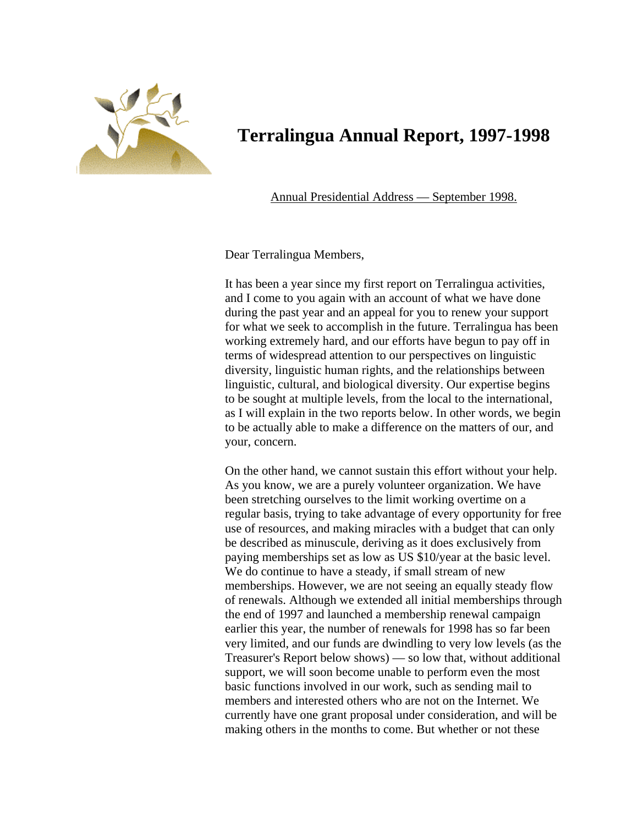

# **Terralingua Annual Report, 1997-1998**

Annual Presidential Address — September 1998.

Dear Terralingua Members,

It has been a year since my first report on Terralingua activities, and I come to you again with an account of what we have done during the past year and an appeal for you to renew your support for what we seek to accomplish in the future. Terralingua has been working extremely hard, and our efforts have begun to pay off in terms of widespread attention to our perspectives on linguistic diversity, linguistic human rights, and the relationships between linguistic, cultural, and biological diversity. Our expertise begins to be sought at multiple levels, from the local to the international, as I will explain in the two reports below. In other words, we begin to be actually able to make a difference on the matters of our, an d your, concern.

use of resources, and making miracles with a budget that can only of renewals. Although we extended all initial memberships through very limited, and our funds are dwindling to very low levels (as the On the other hand, we cannot sustain this effort without your help. As you know, we are a purely volunteer organization. We have been stretching ourselves to the limit working overtime on a regular basis, trying to take advantage of every opportunity for free be described as minuscule, deriving as it does exclusively from paying memberships set as low as US \$10/year at the basic level. We do continue to have a steady, if small stream of new memberships. However, we are not seeing an equally steady flow the end of 1997 and launched a membership renewal campaign earlier this year, the number of renewals for 1998 has so far been Treasurer's Report below shows) — so low that, without additional support, we will soon become unable to perform even the most basic functions involved in our work, such as sending mail to members and interested others who are not on the Internet. We currently have one grant proposal under consideration, and will be making others in the months to come. But whether or not these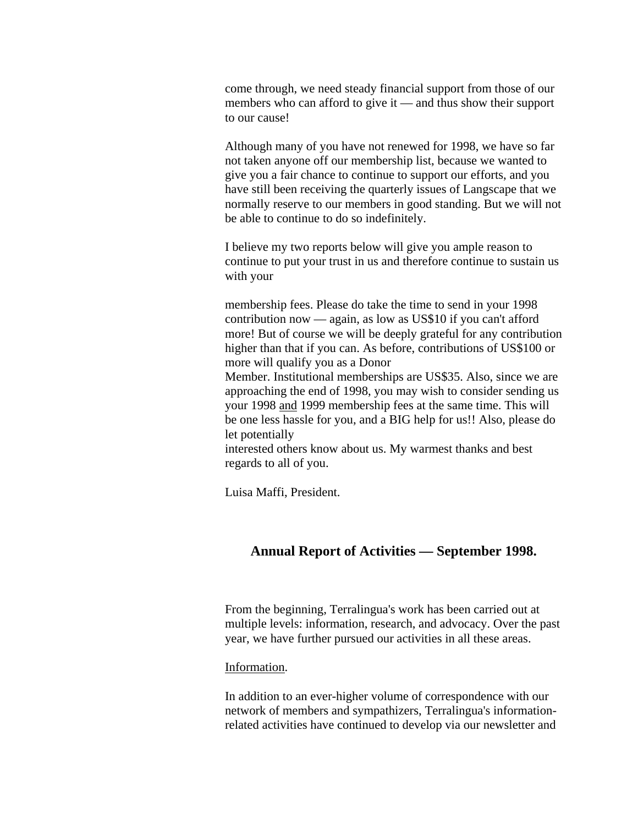come through, we need steady financial support from those of our members who can afford to give it — and thus show their support to our cause!

Although many of you have not renewed for 1998, we have so far normally reserve to our members in good standing. But we will not be able to continue to do so indefinitely. not taken anyone off our membership list, because we wanted to give you a fair chance to continue to support our efforts, and you have still been receiving the quarterly issues of Langscape that we

continue to put your trust in us and therefore continue to sustain us with your I believe my two reports below will give you ample reason to

membership fees. Please do take the time to send in your 1998 contribution now — again, as low as US\$10 if you can't afford more! But of course we will be deeply grateful for any contribution higher than that if you can. As before, contributions of US\$100 or more will qualify you as a Donor

Member. Institutional memberships are US\$35. Also, since we are approaching the end of 1998, you may wish to consider sending us your 1998 and 1999 membership fees at the same time. This will be one less hassle for you, and a BIG help for us!! Also, please do let potentially

interested others know about us. My warmest thanks and best regards to all of you.

Luisa Maffi, President.

# **Annual Report of Activities — September 1998.**

multiple levels: information, research, and advocacy. Over the past year, we have further pursued our activities in all these areas. From the beginning, Terralingua's work has been carried out at

Information .

related activities have continued to develop via our newsletter and In addition to an ever-higher volume of correspondence with our network of members and sympathizers, Terralingua's information-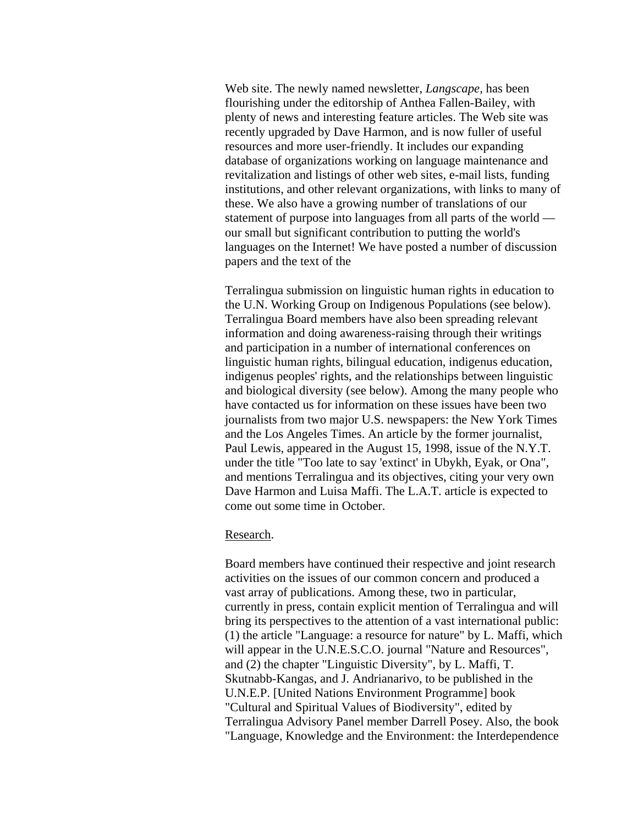Web site. The newly named newsletter, *Langscape,* has been flourishing under the editorship of Anthea Fallen-Bailey, with plenty of news and interesting feature articles. The Web site was recently upgraded by Dave Harmon, and is now fuller of use ful resources and more user-friendly. It includes our expanding database of organizations working on language maintenance and revitalization and listings of other web sites, e-mail lists, funding institutions, and other relevant organizations, with links to ma ny of these. We also have a growing number of translations of our statement of purpose into languages from all parts of the world our small but significant contribution to putting the world's languages on the Internet! We have posted a number of discussion papers and the text of the

the U.N. Working Group on Indigenous Populations (see below). linguistic human rights, bilingual education, indigenus education, and biological diversity (see below). Among the many people who journalists from two major U.S. newspapers: the New York Times Dave Harmon and Luisa Maffi. The L.A.T. article is expected to come out some time in October. Terralingua submission on linguistic human rights in education to Terralingua Board members have also been spreading relevant information and doing awareness-raising through their writings and participation in a number of international conferences on indigenus peoples' rights, and the relationships between linguistic have contacted us for information on these issues have been two and the Los Angeles Times. An article by the former journalist, Paul Lewis, appeared in the August 15, 1998, issue of the N.Y.T. under the title "Too late to say 'extinct' in Ubykh, Eyak, or Ona", and mentions Terralingua and its objectives, citing your very own

## Research.

currently in press, contain explicit mention of Terralingua and will bring its perspectives to the attention of a vast international public: (1) the article "Language: a resource for nature" by L. Maffi, which Terralingua Advisory Panel member Darrell Posey. Also, the book "Language, Knowledge and the Environment: the Interdependence Board members have continued their respective and joint research activities on the issues of our common concern and produced a vast array of publications. Among these, two in particular, will appear in the U.N.E.S.C.O. journal "Nature and Resources", and (2) the chapter "Linguistic Diversity", by L. Maffi, T. Skutnabb-Kangas, and J. Andrianarivo, to be published in the U.N.E.P. [United Nations Environment Programme] book "Cultural and Spiritual Values of Biodiversity", edited by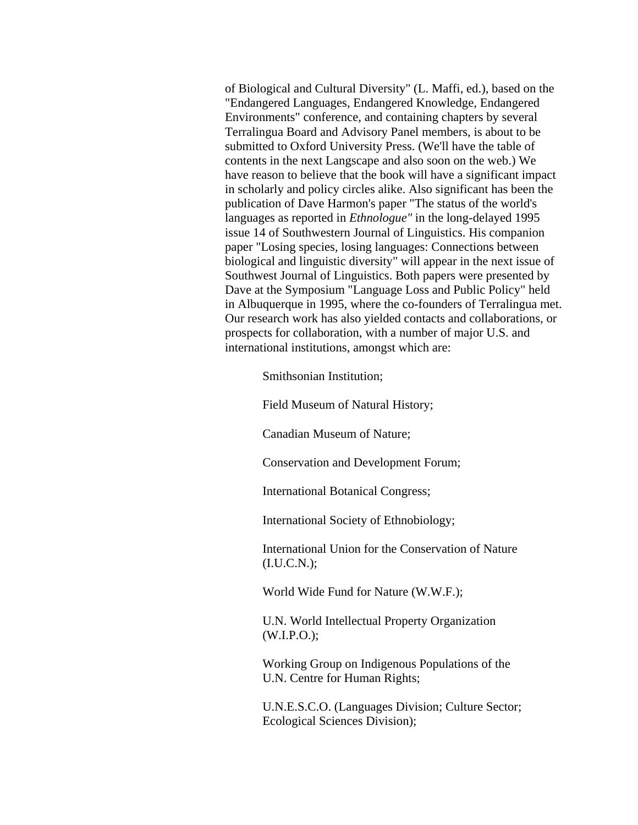of Biological and Cultural Diversity" (L. Maffi, ed.), based on t he "Endangered Languages, Endangered Knowledge, Endangered Environments" conference, and containing chapters by several Terralingua Board and Advisory Panel members, is about to be submitted to Oxford University Press. (We'll have the table of contents in the next Langscape and also soon on the web.) We have reason to believe that the book will have a significant impa ct in scholarly and policy circles alike. Also significant has been t he publication of Dave Harmon's paper "The status of the world's languages as reported in *Ethnologue"* in the long-delayed 1995 issue 14 of Southwestern Journal of Linguistics. His companion paper "Losing species, losing languages: Connections between biological and linguistic diversity" will appear in the next issue of Southwest Journal of Linguistics. Both papers were presented by Dave at the Symposium "Language Loss and Public Policy" held in Albuquerque in 1995, where the co-founders of Terralingua met. Our research work has also yielded contacts and collaboration s, or prospects for collaboration, with a number of major U.S. and international institutions, amongst which are:

Smithsonian Institution;

Field Museum of Natural History;

Canadian Museum of Nature;

Conservation and Development Forum;

International Botanical Congress;

International Society of Ethnobiology;

International Union for the Conservation of Nature (I.U.C.N.);

World Wide Fund for Nature (W.W.F.);

U.N. World Intellectual Property Organization  $(W.I.P.O.);$ 

Working Group on Indigenous Populations of the U.N. Centre for Human Rights;

U.N.E.S.C.O. (Languages Division; Culture Sector; Ecological Sciences Division);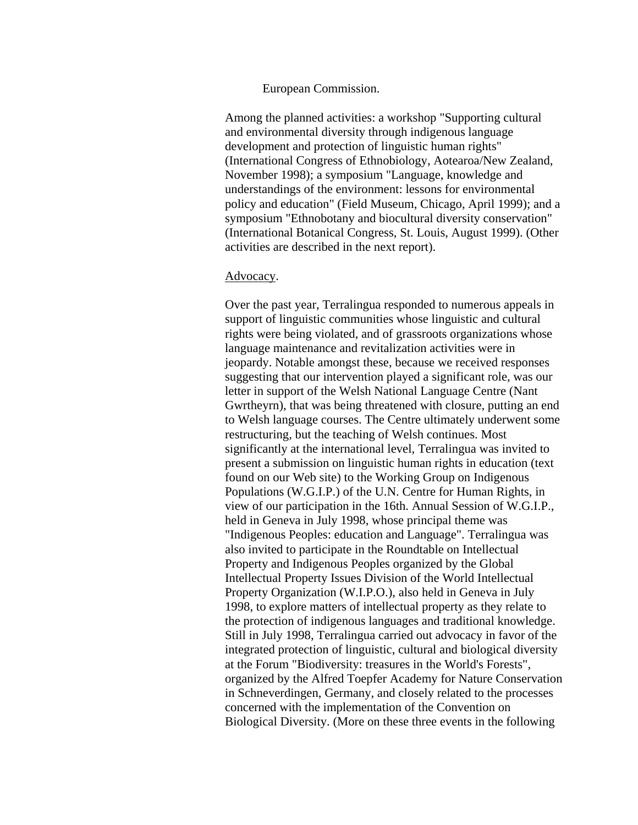#### European Commission.

Among the planned activities: a workshop "Supporting cultural and environmental diversity through indigenous language development and protection of linguistic human rights" (International Congress of Ethnobiology, Aotearoa/New Zeala nd, November 1998); a symposium "Language, knowledge and understandings of the environment: lessons for environmental policy and education" (Field Museum, Chicago, April 199 9); and a symposium "Ethnobotany and biocultural diversity conservation" (International Botanical Congress, St. Louis, August 1999). (Other activities are described in the next report).

### Advocacy.

Over the past year, Terralingua responded to numerous appeals in support of linguistic communities whose linguistic and cultural rights were being violated, and of grassroots organizations whose language maintenance and revitalization activities were in jeopardy. Notable amongst these, because we received responses suggesting that our intervention played a significant role, was our letter in support of the Welsh National Language Centre (Nant Gwrtheyrn), that was being threatened with closure, putting an end to Welsh language courses. The Centre ultimately underwent some restructuring, but the teaching of Welsh continues. Most significantly at the international level, Terralingua was invited to present a submission on linguistic human rights in education (text found on our Web site) to the Working Group on Indigenous Populations (W.G.I.P.) of the U.N. Centre for Human Rights, in view of our participation in the 16th. Annual Session of W.G.I.P., held in Geneva in July 1998, whose principal theme was "Indigenous Peoples: education and Language". Terralingua was also invited to participate in the Roundtable on Intellectual Property and Indigenous Peoples organized by the Global Intellectual Property Issues Division of the World Intellectu al Property Organization (W.I.P.O.), also held in Geneva in July 1998, to explore matters of intellectual property as they relate to the protection of indigenous languages and traditional knowledge. Still in July 1998, Terralingua carried out advocacy in favor of the integrated protection of linguistic, cultural and biological diversity at the Forum "Biodiversity: treasures in the World's Forests", organized by the Alfred Toepfer Academy for Nature Conservation in Schneverdingen, Germany, and closely related to the processes concerned with the implementation of the Convention on Biological Diversity. (More on these three events in the following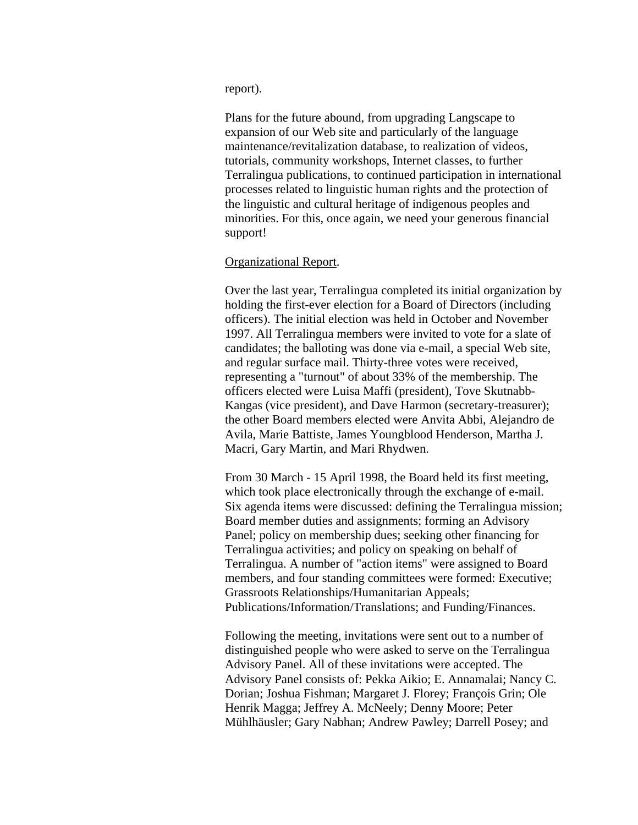report).

Plans for the future abound, from upgrading Langscape to expansion of our Web site and particularly of the language maintenance/revitalization database, to realization of videos, tutorials, community workshops, Internet classes, to further Terralingua publications, to continued participation in international processes related to linguistic human rights and the protection of the linguistic and cultural heritage of indigenous peoples and minorities. For this, once again, we need your generous financial support!

#### Organizational Report.

Over the last year, Terralingua completed its initial organization by holding the first-ever election for a Board of Directors (including officers). The initial election was held in October and November 1997. All Terralingua members were invited to vote for a slate of candidates; the balloting was done via e-mail, a special Web site, and regular surface mail. Thirty-three votes were received, representing a "turnout" of about 33% of the membership. The officers elected were Luisa Maffi (president), Tove Skutnabb-Kangas (vice president), and Dave Harmon (secretary-treasurer); the other Board members elected were Anvita Abbi, Alejandro de Avila, Marie Battiste, James Youngblood Henderson, Martha J. Macri, Gary Martin, and Mari Rhydwen.

From 30 March - 15 April 1998, the Board held its first meeting, which took place electronically through the exchange of e-mail. Six agenda items were discussed: defining the Terralingua missi on; Board member duties and assignments; forming an Advisory Panel; policy on membership dues; seeking other financing for Terralingua activities; and policy on speaking on behalf of Terralingua. A number of "action items" were assigned to Board members, and four standing committees were formed: Executive; Grassroots Relationships/Humanitarian Appeals; Publications/Information/Translations; and Funding/Finances.

Following the meeting, invitations were sent out to a number of distinguished people who were asked to serve on the Terralingua Advisory Panel. All of these invitations were accepted. The Advisory Panel consists of: Pekka Aikio; E. Annamalai; Nancy C. Dorian; Joshua Fishman; Margaret J. Florey; François Grin; Ole Henrik Magga; Jeffrey A. McNeely; Denny Moore; Peter Mühlhäusler; Gary Nabhan; Andrew Pawley; Darrell Posey; and